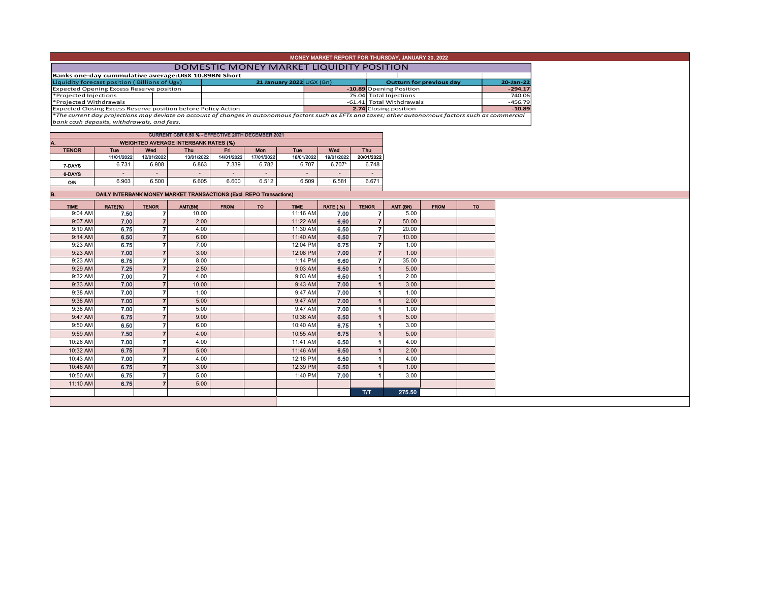|                                                                                                                                                          | MONEY MARKET REPORT FOR THURSDAY, JANUARY 20, 2022   |                                  |                                                                     |             |            |                                |                 |                           |                                 |             |           |           |  |
|----------------------------------------------------------------------------------------------------------------------------------------------------------|------------------------------------------------------|----------------------------------|---------------------------------------------------------------------|-------------|------------|--------------------------------|-----------------|---------------------------|---------------------------------|-------------|-----------|-----------|--|
|                                                                                                                                                          | <b>DOMESTIC MONEY MARKET LIQUIDITY POSITION</b>      |                                  |                                                                     |             |            |                                |                 |                           |                                 |             |           |           |  |
|                                                                                                                                                          | Banks one-day cummulative average: UGX 10.89BN Short |                                  |                                                                     |             |            |                                |                 |                           |                                 |             |           |           |  |
| Liquidity forecast position (Billions of Ugx)                                                                                                            |                                                      |                                  |                                                                     |             |            | 21 January 2022 $\cup$ GX (Bn) |                 |                           | <b>Outturn for previous day</b> |             | 20-Jan-22 |           |  |
| <b>Expected Opening Excess Reserve position</b>                                                                                                          |                                                      |                                  |                                                                     |             |            |                                |                 |                           | -10.89 Opening Position         |             | $-294.17$ |           |  |
| *Projected Injections                                                                                                                                    |                                                      |                                  |                                                                     |             |            | 75.04 Total Injections         |                 |                           | 740.06                          |             |           |           |  |
| *Projected Withdrawals<br>Expected Closing Excess Reserve position before Policy Action                                                                  |                                                      |                                  |                                                                     |             |            |                                |                 |                           | -61.41 Total Withdrawals        |             |           | $-456.79$ |  |
| *The current day projections may deviate on account of changes in autonomous factors such as EFTs and taxes; other autonomous factors such as commercial |                                                      |                                  |                                                                     |             |            |                                |                 |                           | 2.74 Closing position           |             |           | $-10.89$  |  |
| bank cash deposits, withdrawals, and fees.                                                                                                               |                                                      |                                  |                                                                     |             |            |                                |                 |                           |                                 |             |           |           |  |
|                                                                                                                                                          |                                                      |                                  |                                                                     |             |            |                                |                 |                           |                                 |             |           |           |  |
|                                                                                                                                                          | CURRENT CBR 6.50 % - EFFECTIVE 20TH DECEMBER 2021    |                                  |                                                                     |             |            |                                |                 |                           |                                 |             |           |           |  |
| <b>WEIGHTED AVERAGE INTERBANK RATES (%)</b>                                                                                                              |                                                      |                                  |                                                                     |             |            |                                |                 |                           |                                 |             |           |           |  |
| <b>TENOR</b>                                                                                                                                             | Tue                                                  | Wod                              | <b>Thu</b>                                                          | Fri         | Mon        | <b>Tuo</b>                     | Wod             | Thu                       |                                 |             |           |           |  |
|                                                                                                                                                          | 11/01/2022                                           | 12/01/2022                       | 13/01/2022                                                          | 14/01/2022  | 17/01/2022 | 18/01/2022                     | 19/01/2022      | 20/01/2022                |                                 |             |           |           |  |
| 7-DAYS                                                                                                                                                   | 6.731                                                | 6.908                            | 6.863                                                               | 7.339       | 6.782      | 6.707                          | 6.707*          | 6.748                     |                                 |             |           |           |  |
| 6-DAYS                                                                                                                                                   | $\sim$                                               | $\mathbf{r}$                     | $\sim$                                                              | $\sim$      | $\sim$     | $\sim$                         | $\blacksquare$  | $\sim$                    |                                 |             |           |           |  |
| <b>O/N</b>                                                                                                                                               | 6.903                                                | 6.500                            | 6.605                                                               | 6.600       | 6.512      | 6.509                          | 6.581           | 6.671                     |                                 |             |           |           |  |
| B.                                                                                                                                                       |                                                      |                                  | DAILY INTERBANK MONEY MARKET TRANSACTIONS (Excl. REPO Transactions) |             |            |                                |                 |                           |                                 |             |           |           |  |
|                                                                                                                                                          |                                                      |                                  |                                                                     |             |            |                                |                 |                           |                                 |             |           |           |  |
| <b>TIME</b>                                                                                                                                              | RATE(%)                                              | <b>TENOR</b>                     | AMT(BN)                                                             | <b>FROM</b> | <b>TO</b>  | <b>TIME</b>                    | <b>RATE (%)</b> | <b>TENOR</b>              | AMT (BN)                        | <b>FROM</b> | <b>TO</b> |           |  |
| 9:04 AM                                                                                                                                                  | 7.50                                                 | 7                                | 10.00                                                               |             |            | 11:16 AM                       | 7.00            | 7                         | 5.00                            |             |           |           |  |
| 9:07 AM                                                                                                                                                  | 7.00                                                 | $\overline{7}$                   | 2.00                                                                |             |            | 11:22 AM                       | 6.60            | $\overline{7}$            | 50.00                           |             |           |           |  |
| 9:10 AM                                                                                                                                                  | 6.75                                                 | $\overline{ }$                   | 4.00                                                                |             |            | 11:30 AM                       | 6.50            | $\overline{7}$            | 20.00                           |             |           |           |  |
| 9:14 AM                                                                                                                                                  | 6.50                                                 | $\overline{7}$                   | 6.00                                                                |             |            | 11:40 AM                       | 6.50            | $\overline{7}$            | 10.00                           |             |           |           |  |
| 9:23 AM                                                                                                                                                  | 6.75                                                 | $\overline{7}$                   | 7.00                                                                |             |            | 12:04 PM                       | 6.75            | $\overline{7}$            | 1.00                            |             |           |           |  |
| 9:23 AM                                                                                                                                                  | 7.00                                                 | $\overline{7}$                   | 3.00<br>8.00                                                        |             |            | 12:08 PM                       | 7.00            | $\overline{7}$            | 1.00<br>35.00                   |             |           |           |  |
| 9:23 AM                                                                                                                                                  | 6.75                                                 | $\overline{ }$<br>$\overline{7}$ | 2.50                                                                |             |            | 1:14 PM                        | 6,60            | $\overline{ }$            |                                 |             |           |           |  |
| 9:29 AM                                                                                                                                                  | 7.25<br>7.00                                         |                                  |                                                                     |             |            | 9:03 AM                        | 6.50            | $\overline{\mathbf{1}}$   | 5.00                            |             |           |           |  |
| 9:32 AM                                                                                                                                                  |                                                      | $\overline{7}$<br>$\overline{7}$ | 4.00                                                                |             |            | 9:03 AM                        | 6.50            | 1<br>$\blacktriangleleft$ | 2.00                            |             |           |           |  |
| 9:33 AM                                                                                                                                                  | 7.00                                                 |                                  | 10.00                                                               |             |            | 9:43 AM                        | 7.00            |                           | 3.00                            |             |           |           |  |
| 9:38 AM                                                                                                                                                  | 7.00                                                 | $\overline{ }$                   | 1.00                                                                |             |            | 9:47 AM                        | 7.00            | 1                         | 1.00                            |             |           |           |  |
| 9:38 AM                                                                                                                                                  | 7.00                                                 | $\overline{z}$                   | 5.00                                                                |             |            | 9:47 AM                        | 7.00            |                           | 2.00                            |             |           |           |  |
| 9:38 AM                                                                                                                                                  | 7.00                                                 | $\overline{7}$                   | 5.00                                                                |             |            | 9:47 AM                        | 7.00            | 1                         | 1.00                            |             |           |           |  |
| 9:47 AM                                                                                                                                                  | 6.75                                                 | $\overline{7}$                   | 9.00                                                                |             |            | 10:36 AM                       | 6.50            | $\blacktriangleleft$      | 5.00                            |             |           |           |  |
| 9:50 AM                                                                                                                                                  | 6.50                                                 | $\overline{\phantom{a}}$         | 6.00                                                                |             |            | 10:40 AM                       | 6.75            | 1                         | 3.00                            |             |           |           |  |
| 9:59 AM                                                                                                                                                  | 7.50                                                 | $\overline{7}$                   | 4.00                                                                |             |            | 10:55 AM                       | 6.75            |                           | 5.00                            |             |           |           |  |
| 10:26 AM                                                                                                                                                 | 7.00                                                 | $\overline{7}$                   | 4.00                                                                |             |            | 11:41 AM                       | 6.50            | 1                         | 4.00                            |             |           |           |  |
| 10:32 AM                                                                                                                                                 | 6.75                                                 | $\overline{7}$                   | 5.00                                                                |             |            | 11:46 AM                       | 6.50            | $\blacktriangleleft$      | 2.00                            |             |           |           |  |
| 10:43 AM                                                                                                                                                 | 7.00                                                 | $\overline{7}$                   | 4.00                                                                |             |            | 12:18 PM                       | 6.50            | 1                         | 4.00                            |             |           |           |  |
| 10:46 AM                                                                                                                                                 | 6.75                                                 | $\overline{7}$                   | 3.00                                                                |             |            | 12:39 PM                       | 6.50            | 1                         | 1.00                            |             |           |           |  |
| 10:50 AM                                                                                                                                                 | 6.75                                                 | $\overline{7}$                   | 5.00                                                                |             |            | 1:40 PM                        | 7.00            | 1                         | 3.00                            |             |           |           |  |
| 11:10 AM                                                                                                                                                 | 6.75                                                 | $\overline{7}$                   | 5.00                                                                |             |            |                                |                 |                           |                                 |             |           |           |  |
|                                                                                                                                                          |                                                      |                                  |                                                                     |             |            |                                |                 | TЛ                        | 275.50                          |             |           |           |  |
|                                                                                                                                                          |                                                      |                                  |                                                                     |             |            |                                |                 |                           |                                 |             |           |           |  |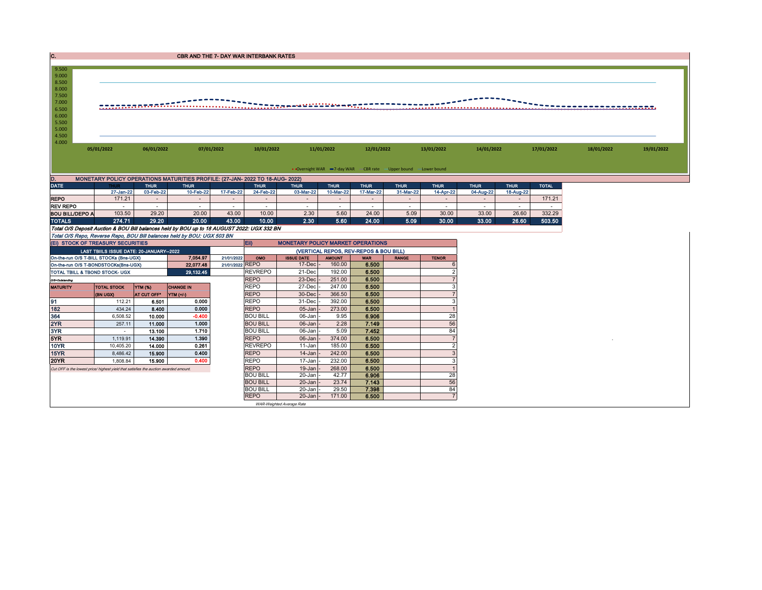| C.                                                                                  | <b>CBR AND THE 7- DAY WAR INTERBANK RATES</b>                                              |                  |                                   |                  |                                        |                                          |                               |                                    |                                                               |                 |                                    |                          |                  |            |            |
|-------------------------------------------------------------------------------------|--------------------------------------------------------------------------------------------|------------------|-----------------------------------|------------------|----------------------------------------|------------------------------------------|-------------------------------|------------------------------------|---------------------------------------------------------------|-----------------|------------------------------------|--------------------------|------------------|------------|------------|
| 9.500                                                                               |                                                                                            |                  |                                   |                  |                                        |                                          |                               |                                    |                                                               |                 |                                    |                          |                  |            |            |
| 9.000<br>8.500                                                                      |                                                                                            |                  |                                   |                  |                                        |                                          |                               |                                    |                                                               |                 |                                    |                          |                  |            |            |
| 8.000<br>7.500                                                                      |                                                                                            |                  |                                   |                  |                                        |                                          |                               |                                    |                                                               |                 |                                    |                          |                  |            |            |
| 7.000                                                                               |                                                                                            |                  | ,,,,,,,,,,,,,,,,,,,,,,,,,,,,,,,,, |                  |                                        | <u> 11113220 - 11222221 - 113</u>        |                               |                                    |                                                               |                 |                                    |                          |                  |            |            |
| 6.500<br>6.000                                                                      |                                                                                            |                  |                                   |                  |                                        |                                          |                               |                                    |                                                               |                 |                                    |                          |                  |            |            |
| 5.500<br>5.000                                                                      |                                                                                            |                  |                                   |                  |                                        |                                          |                               |                                    |                                                               |                 |                                    |                          |                  |            |            |
| 4.500                                                                               | 4.000                                                                                      |                  |                                   |                  |                                        |                                          |                               |                                    |                                                               |                 |                                    |                          |                  |            |            |
|                                                                                     | 05/01/2022<br>06/01/2022<br>07/01/2022                                                     |                  |                                   |                  | 10/01/2022                             |                                          | 11/01/2022                    |                                    | 12/01/2022                                                    | 13/01/2022      |                                    | 17/01/2022<br>14/01/2022 |                  | 18/01/2022 | 19/01/2022 |
|                                                                                     |                                                                                            |                  |                                   |                  |                                        |                                          |                               |                                    |                                                               |                 |                                    |                          |                  |            |            |
|                                                                                     |                                                                                            |                  |                                   |                  |                                        |                                          |                               |                                    | • Overnight WAR =7-day WAR CBR rate -Upper bound -Lower bound |                 |                                    |                          |                  |            |            |
| MONETARY POLICY OPERATIONS MATURITIES PROFILE: (27-JAN- 2022 TO 18-AUG- 2022)<br>D. |                                                                                            |                  |                                   |                  |                                        |                                          |                               |                                    |                                                               |                 |                                    |                          |                  |            |            |
| DATE                                                                                |                                                                                            | <b>THUR</b>      | <b>THUR</b>                       |                  | <b>THUR</b>                            | <b>THUR</b>                              | <b>THUR</b>                   | <b>THUR</b>                        | <b>THUR</b>                                                   | <b>THUR</b>     | <b>THUR</b>                        | <b>THUR</b>              | <b>TOTAL</b>     |            |            |
|                                                                                     | 27-Jan-22                                                                                  | 03-Feb-22        | 10-Feb-22                         | 17-Feb-22        | 24-Feb-22                              | 03-Mar-22                                | 10-Mar-22                     | 17-Mar-22                          | 31-Mar-22                                                     | 14-Apr-22       | 04-Aug-22                          | 18-Aug-22                |                  |            |            |
| <b>REPO</b><br><b>REV REPO</b>                                                      | 171.21<br>$\sim$                                                                           | $\sim$<br>$\sim$ | $\sim$<br>$\sim$                  | $\sim$<br>$\sim$ | $\sim$<br>$\sim$                       | $\sim$<br>$\sim$                         | $\overline{\phantom{a}}$<br>٠ | $\sim$<br>$\overline{\phantom{a}}$ | $\sim$<br>$\sim$                                              | $\sim$          | $\overline{\phantom{a}}$<br>$\sim$ | $\sim$<br>$\sim$         | 171.21           |            |            |
| <b>BOU BILL/DEPO A</b>                                                              | 103.50                                                                                     | 29.20            | 20.00                             | 43.00            | 10.00                                  | 2.30                                     | 5.60                          | 24.00                              | 5.09                                                          | $\sim$<br>30.00 | 33.00                              | 26.60                    | $\sim$<br>332.29 |            |            |
| <b>TOTALS</b>                                                                       | 274.71                                                                                     | 29.20            | 20.00                             | 43.00            | 10.00                                  | 2.30                                     | 5.60                          | 24.00                              | 5.09                                                          | 30.00           | 33.00                              | 26.60                    | 503.50           |            |            |
|                                                                                     | Total O/S Deposit Auction & BOU Bill balances held by BOU up to 18 AUGUST 2022: UGX 332 BN |                  |                                   |                  |                                        |                                          |                               |                                    |                                                               |                 |                                    |                          |                  |            |            |
|                                                                                     | Total O/S Repo, Reverse Repo, BOU Bill balances held by BOU: UGX 503 BN                    |                  |                                   |                  |                                        |                                          |                               |                                    |                                                               |                 |                                    |                          |                  |            |            |
|                                                                                     | (EI) STOCK OF TREASURY SECURITIES                                                          |                  |                                   |                  | $E$ iii)                               | <b>MONETARY POLICY MARKET OPERATIONS</b> |                               |                                    |                                                               |                 |                                    |                          |                  |            |            |
|                                                                                     | LAST TBIILS ISSUE DATE: 20-JANUARY-2022                                                    |                  |                                   |                  | (VERTICAL REPOS, REV-REPOS & BOU BILL) |                                          |                               |                                    |                                                               |                 |                                    |                          |                  |            |            |
|                                                                                     | On-the-run O/S T-BILL STOCKs (Bns-UGX)                                                     |                  | 7.054.97                          | 21/01/2022       | OMO                                    | <b>ISSUE DATE</b>                        | <b>TINUOMA</b>                | <b>WAR</b>                         | <b>RANGE</b>                                                  | <b>TENOR</b>    |                                    |                          |                  |            |            |
|                                                                                     | On-the-run O/S T-BONDSTOCKs(Bns-UGX)                                                       |                  | 22,077.48                         | 21/01/2022 REPO  |                                        | 17-Dec                                   | 160.00                        | 6.500                              |                                                               |                 |                                    |                          |                  |            |            |
|                                                                                     | TOTAL TBILL & TBOND STOCK- UGX                                                             |                  | 29,132.45                         |                  | <b>REVREPO</b>                         | 21-Dec                                   | 192.00                        | 6.500                              |                                                               |                 |                                    |                          |                  |            |            |
| O/S=Outstanding                                                                     |                                                                                            |                  |                                   |                  | <b>REPO</b>                            | 23-Dec                                   | 251.00                        | 6.500                              |                                                               |                 |                                    |                          |                  |            |            |
| <b>MATURITY</b>                                                                     | <b>TOTAL STOCK</b>                                                                         | <b>YTM (%)</b>   | <b>CHANGE IN</b>                  |                  | <b>REPO</b>                            | 27-Dec                                   | 247.00                        | 6.500                              |                                                               | 3               |                                    |                          |                  |            |            |
|                                                                                     | (BN UGX)                                                                                   | AT CUT OFF*      | YTM (+/-)                         |                  | <b>REPO</b>                            | 30-Dec                                   | 366.50                        | 6.500                              |                                                               | $\overline{7}$  |                                    |                          |                  |            |            |
| 91<br>182                                                                           | 112.21                                                                                     | 6.501            | 0.000                             |                  | <b>REPO</b>                            | 31-Dec                                   | 392.00                        | 6.500                              |                                                               | 3               |                                    |                          |                  |            |            |
| 364                                                                                 | 434.24<br>6,508.52                                                                         | 8.400<br>10.000  | 0.000<br>$-0.400$                 |                  | <b>REPO</b><br><b>BOU BILL</b>         | 05-Jan<br>06-Jan                         | 273.00<br>9.95                | 6.500<br>6.906                     |                                                               | 28              |                                    |                          |                  |            |            |
| 2YR                                                                                 | 257.11                                                                                     | 11.000           | 1.000                             |                  | <b>BOU BILL</b>                        | 06-Jan                                   | 2.28                          | 7.149                              |                                                               | 56              |                                    |                          |                  |            |            |
| 3YR                                                                                 | ×                                                                                          | 13.100           | 1.710                             |                  | <b>BOU BILL</b>                        | 06-Jan                                   | 5.09                          | 7.452                              |                                                               | 84              |                                    |                          |                  |            |            |
| 5YR                                                                                 | 1,119.91                                                                                   | 14.390           | 1.390                             |                  | <b>REPO</b>                            | 06-Jan                                   | 374.00                        | 6.500                              |                                                               |                 |                                    |                          |                  |            |            |
| <b>10YR</b>                                                                         | 10,405.20                                                                                  | 14.000           | 0.261                             |                  | <b>REVREPO</b>                         | 11-Jan                                   | 185.00                        | 6.500                              |                                                               | $\overline{2}$  |                                    |                          |                  |            |            |
| 15YR                                                                                | 8,486.42                                                                                   | 15.900           | 0.400                             |                  | <b>REPO</b>                            | 14-Jan                                   | 242.00                        | 6.500                              |                                                               |                 |                                    |                          |                  |            |            |
| <b>20YR</b>                                                                         | 1,808.84                                                                                   | 15,900           | 0.400                             |                  | <b>REPO</b>                            | 17-Jan                                   | 232.00                        | 6.500                              |                                                               | 3               |                                    |                          |                  |            |            |
|                                                                                     | Cut OFF is the lowest price/ highest yield that satisfies the auction awarded amount.      |                  | <b>REPO</b>                       | 19-Jan           | 268.00                                 | 6.500                                    |                               |                                    |                                                               |                 |                                    |                          |                  |            |            |
|                                                                                     |                                                                                            |                  |                                   |                  | <b>BOU BILL</b>                        | 20-Jan                                   | 42.77                         | 6.906                              |                                                               | 28              |                                    |                          |                  |            |            |
|                                                                                     |                                                                                            |                  | <b>BOU BILL</b>                   | 20-Jan           | 23.74                                  | 7.143                                    |                               | 56                                 |                                                               |                 |                                    |                          |                  |            |            |
|                                                                                     |                                                                                            |                  |                                   |                  | <b>BOU BILL</b>                        | 20-Jan                                   | 29.50                         | 7.398                              |                                                               | 84              |                                    |                          |                  |            |            |
|                                                                                     |                                                                                            |                  |                                   |                  | <b>REPO</b>                            | 20-Jan                                   | 171.00                        | 6.500                              |                                                               |                 |                                    |                          |                  |            |            |
|                                                                                     |                                                                                            |                  |                                   |                  |                                        | WAR-Weighted Average Rate                |                               |                                    |                                                               |                 |                                    |                          |                  |            |            |